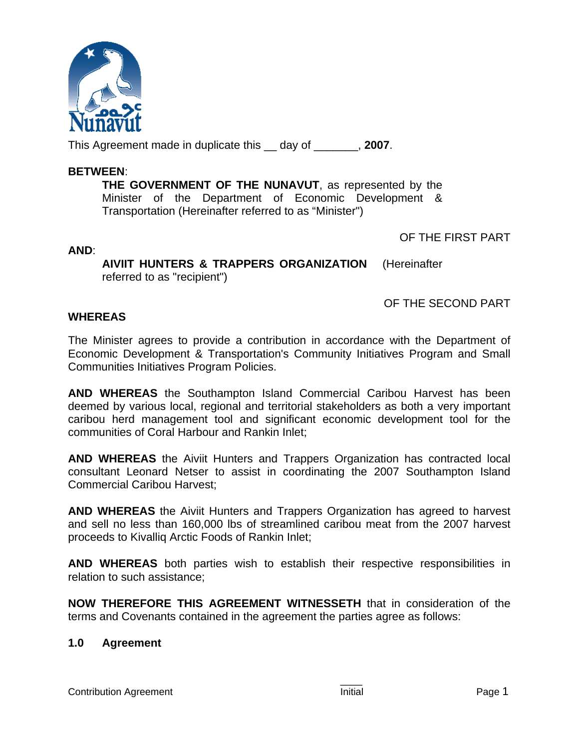

This Agreement made in duplicate this \_\_ day of \_\_\_\_\_\_\_, **2007**.

### **BETWEEN**:

**THE GOVERNMENT OF THE NUNAVUT**, as represented by the Minister of the Department of Economic Development & Transportation (Hereinafter referred to as "Minister")

OF THE FIRST PART

**AND**:

**AIVIIT HUNTERS & TRAPPERS ORGANIZATION** (Hereinafter referred to as "recipient")

OF THE SECOND PART

# **WHEREAS**

The Minister agrees to provide a contribution in accordance with the Department of Economic Development & Transportation's Community Initiatives Program and Small Communities Initiatives Program Policies.

**AND WHEREAS** the Southampton Island Commercial Caribou Harvest has been deemed by various local, regional and territorial stakeholders as both a very important caribou herd management tool and significant economic development tool for the communities of Coral Harbour and Rankin Inlet;

**AND WHEREAS** the Aiviit Hunters and Trappers Organization has contracted local consultant Leonard Netser to assist in coordinating the 2007 Southampton Island Commercial Caribou Harvest;

**AND WHEREAS** the Aiviit Hunters and Trappers Organization has agreed to harvest and sell no less than 160,000 lbs of streamlined caribou meat from the 2007 harvest proceeds to Kivalliq Arctic Foods of Rankin Inlet;

**AND WHEREAS** both parties wish to establish their respective responsibilities in relation to such assistance;

**NOW THEREFORE THIS AGREEMENT WITNESSETH** that in consideration of the terms and Covenants contained in the agreement the parties agree as follows:

# **1.0 Agreement**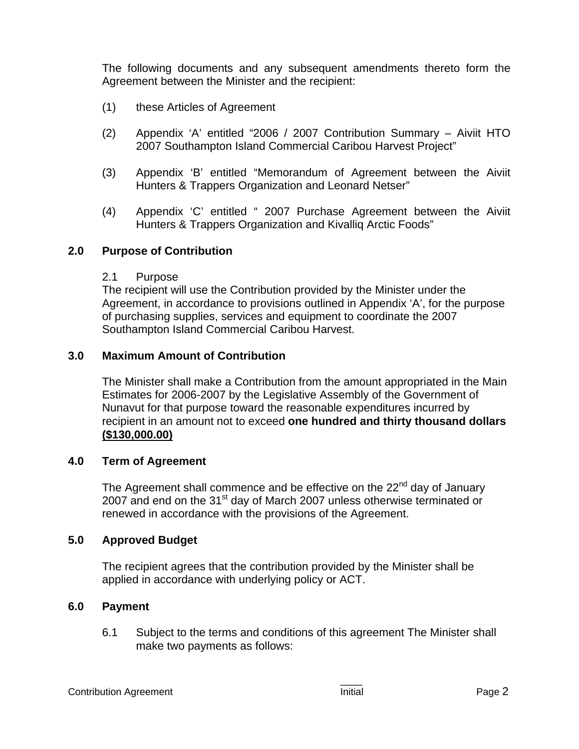The following documents and any subsequent amendments thereto form the Agreement between the Minister and the recipient:

- (1) these Articles of Agreement
- (2) Appendix 'A' entitled "2006 / 2007 Contribution Summary Aiviit HTO 2007 Southampton Island Commercial Caribou Harvest Project"
- (3) Appendix 'B' entitled "Memorandum of Agreement between the Aiviit Hunters & Trappers Organization and Leonard Netser"
- (4) Appendix 'C' entitled " 2007 Purchase Agreement between the Aiviit Hunters & Trappers Organization and Kivalliq Arctic Foods"

### **2.0 Purpose of Contribution**

#### 2.1 Purpose

The recipient will use the Contribution provided by the Minister under the Agreement, in accordance to provisions outlined in Appendix 'A', for the purpose of purchasing supplies, services and equipment to coordinate the 2007 Southampton Island Commercial Caribou Harvest.

#### **3.0 Maximum Amount of Contribution**

The Minister shall make a Contribution from the amount appropriated in the Main Estimates for 2006-2007 by the Legislative Assembly of the Government of Nunavut for that purpose toward the reasonable expenditures incurred by recipient in an amount not to exceed **one hundred and thirty thousand dollars (\$130,000.00)**

#### **4.0 Term of Agreement**

The Agreement shall commence and be effective on the 22<sup>nd</sup> day of January 2007 and end on the 31<sup>st</sup> day of March 2007 unless otherwise terminated or renewed in accordance with the provisions of the Agreement.

#### **5.0 Approved Budget**

The recipient agrees that the contribution provided by the Minister shall be applied in accordance with underlying policy or ACT.

#### **6.0 Payment**

6.1 Subject to the terms and conditions of this agreement The Minister shall make two payments as follows: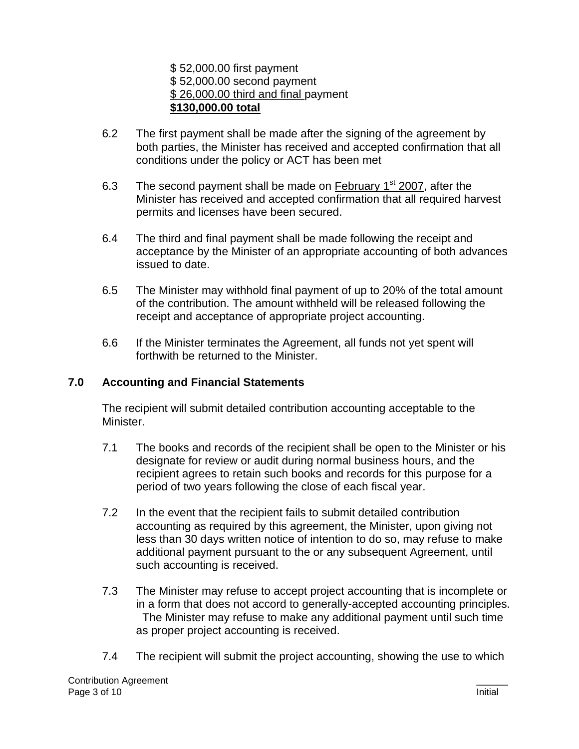\$ 52,000.00 first payment \$ 52,000.00 second payment \$ 26,000.00 third and final payment **\$130,000.00 total**

- 6.2 The first payment shall be made after the signing of the agreement by both parties, the Minister has received and accepted confirmation that all conditions under the policy or ACT has been met
- 6.3 The second payment shall be made on February  $1<sup>st</sup>$  2007, after the Minister has received and accepted confirmation that all required harvest permits and licenses have been secured.
- 6.4 The third and final payment shall be made following the receipt and acceptance by the Minister of an appropriate accounting of both advances issued to date.
- 6.5 The Minister may withhold final payment of up to 20% of the total amount of the contribution. The amount withheld will be released following the receipt and acceptance of appropriate project accounting.
- 6.6 If the Minister terminates the Agreement, all funds not yet spent will forthwith be returned to the Minister.

# **7.0 Accounting and Financial Statements**

The recipient will submit detailed contribution accounting acceptable to the Minister.

- 7.1 The books and records of the recipient shall be open to the Minister or his designate for review or audit during normal business hours, and the recipient agrees to retain such books and records for this purpose for a period of two years following the close of each fiscal year.
- 7.2 In the event that the recipient fails to submit detailed contribution accounting as required by this agreement, the Minister, upon giving not less than 30 days written notice of intention to do so, may refuse to make additional payment pursuant to the or any subsequent Agreement, until such accounting is received.
- 7.3 The Minister may refuse to accept project accounting that is incomplete or in a form that does not accord to generally-accepted accounting principles. The Minister may refuse to make any additional payment until such time as proper project accounting is received.
- 7.4 The recipient will submit the project accounting, showing the use to which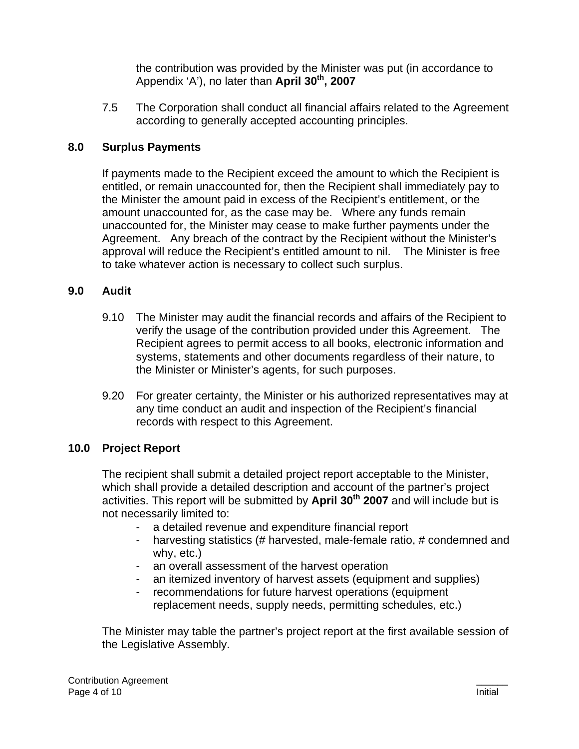the contribution was provided by the Minister was put (in accordance to Appendix 'A'), no later than **April 30<sup>th</sup>, 2007** 

7.5 The Corporation shall conduct all financial affairs related to the Agreement according to generally accepted accounting principles.

# **8.0 Surplus Payments**

If payments made to the Recipient exceed the amount to which the Recipient is entitled, or remain unaccounted for, then the Recipient shall immediately pay to the Minister the amount paid in excess of the Recipient's entitlement, or the amount unaccounted for, as the case may be. Where any funds remain unaccounted for, the Minister may cease to make further payments under the Agreement. Any breach of the contract by the Recipient without the Minister's approval will reduce the Recipient's entitled amount to nil. The Minister is free to take whatever action is necessary to collect such surplus.

# **9.0 Audit**

- 9.10 The Minister may audit the financial records and affairs of the Recipient to verify the usage of the contribution provided under this Agreement. The Recipient agrees to permit access to all books, electronic information and systems, statements and other documents regardless of their nature, to the Minister or Minister's agents, for such purposes.
- 9.20 For greater certainty, the Minister or his authorized representatives may at any time conduct an audit and inspection of the Recipient's financial records with respect to this Agreement.

# **10.0 Project Report**

The recipient shall submit a detailed project report acceptable to the Minister, which shall provide a detailed description and account of the partner's project activities. This report will be submitted by April 30<sup>th</sup> 2007 and will include but is not necessarily limited to:

- a detailed revenue and expenditure financial report
- harvesting statistics (# harvested, male-female ratio, # condemned and why, etc.)
- an overall assessment of the harvest operation
- an itemized inventory of harvest assets (equipment and supplies)
- recommendations for future harvest operations (equipment replacement needs, supply needs, permitting schedules, etc.)

The Minister may table the partner's project report at the first available session of the Legislative Assembly.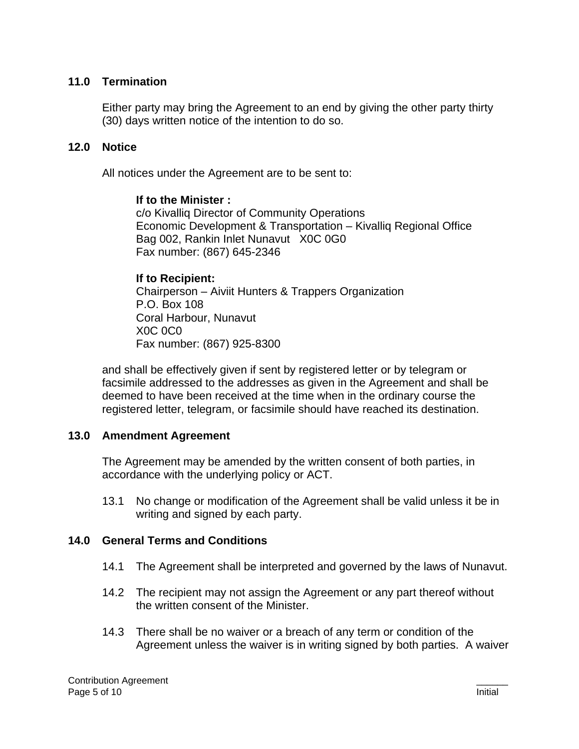### **11.0 Termination**

Either party may bring the Agreement to an end by giving the other party thirty (30) days written notice of the intention to do so.

### **12.0 Notice**

All notices under the Agreement are to be sent to:

#### **If to the Minister :**

c/o Kivalliq Director of Community Operations Economic Development & Transportation – Kivalliq Regional Office Bag 002, Rankin Inlet Nunavut X0C 0G0 Fax number: (867) 645-2346

#### **If to Recipient:**

 Chairperson – Aiviit Hunters & Trappers Organization P.O. Box 108 Coral Harbour, Nunavut X0C 0C0 Fax number: (867) 925-8300

and shall be effectively given if sent by registered letter or by telegram or facsimile addressed to the addresses as given in the Agreement and shall be deemed to have been received at the time when in the ordinary course the registered letter, telegram, or facsimile should have reached its destination.

#### **13.0 Amendment Agreement**

The Agreement may be amended by the written consent of both parties, in accordance with the underlying policy or ACT.

13.1 No change or modification of the Agreement shall be valid unless it be in writing and signed by each party.

#### **14.0 General Terms and Conditions**

- 14.1 The Agreement shall be interpreted and governed by the laws of Nunavut.
- 14.2 The recipient may not assign the Agreement or any part thereof without the written consent of the Minister.
- 14.3 There shall be no waiver or a breach of any term or condition of the Agreement unless the waiver is in writing signed by both parties. A waiver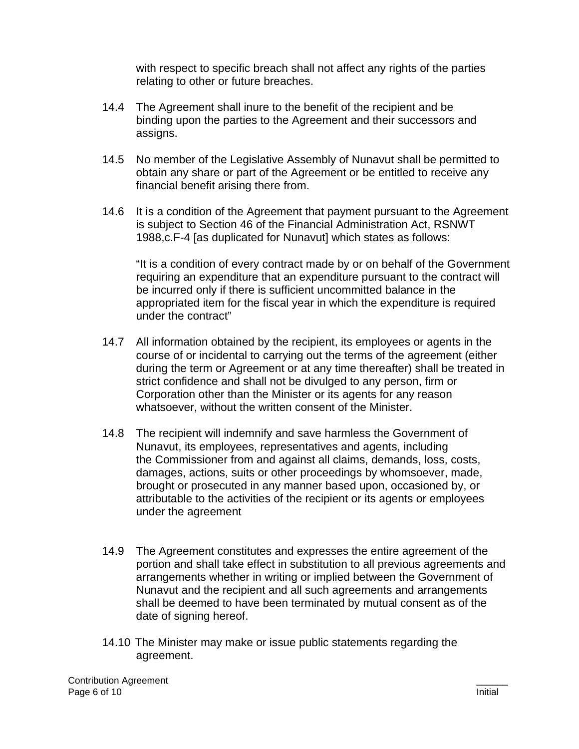with respect to specific breach shall not affect any rights of the parties relating to other or future breaches.

- 14.4 The Agreement shall inure to the benefit of the recipient and be binding upon the parties to the Agreement and their successors and assigns.
- 14.5 No member of the Legislative Assembly of Nunavut shall be permitted to obtain any share or part of the Agreement or be entitled to receive any financial benefit arising there from.
- 14.6 It is a condition of the Agreement that payment pursuant to the Agreement is subject to Section 46 of the Financial Administration Act, RSNWT 1988,c.F-4 [as duplicated for Nunavut] which states as follows:

"It is a condition of every contract made by or on behalf of the Government requiring an expenditure that an expenditure pursuant to the contract will be incurred only if there is sufficient uncommitted balance in the appropriated item for the fiscal year in which the expenditure is required under the contract"

- 14.7 All information obtained by the recipient, its employees or agents in the course of or incidental to carrying out the terms of the agreement (either during the term or Agreement or at any time thereafter) shall be treated in strict confidence and shall not be divulged to any person, firm or Corporation other than the Minister or its agents for any reason whatsoever, without the written consent of the Minister.
- 14.8 The recipient will indemnify and save harmless the Government of Nunavut, its employees, representatives and agents, including the Commissioner from and against all claims, demands, loss, costs, damages, actions, suits or other proceedings by whomsoever, made, brought or prosecuted in any manner based upon, occasioned by, or attributable to the activities of the recipient or its agents or employees under the agreement
- 14.9 The Agreement constitutes and expresses the entire agreement of the portion and shall take effect in substitution to all previous agreements and arrangements whether in writing or implied between the Government of Nunavut and the recipient and all such agreements and arrangements shall be deemed to have been terminated by mutual consent as of the date of signing hereof.
- 14.10 The Minister may make or issue public statements regarding the agreement.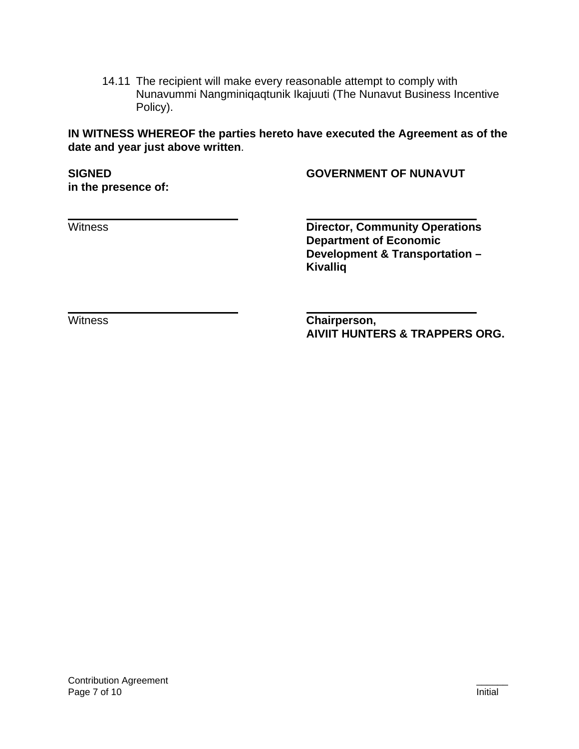14.11 The recipient will make every reasonable attempt to comply with Nunavummi Nangminiqaqtunik Ikajuuti (The Nunavut Business Incentive Policy).

**IN WITNESS WHEREOF the parties hereto have executed the Agreement as of the date and year just above written**.

**in the presence of:** 

**SIGNED GOVERNMENT OF NUNAVUT** 

Witness **Director, Community Operations Department of Economic Development & Transportation – Kivalliq**

Witness **Chairperson, AIVIIT HUNTERS & TRAPPERS ORG.**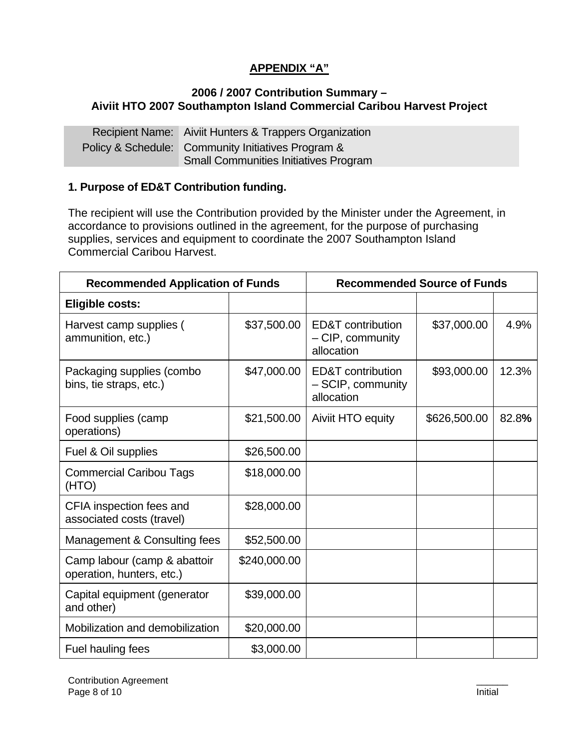# **APPENDIX "A"**

### **2006 / 2007 Contribution Summary – Aiviit HTO 2007 Southampton Island Commercial Caribou Harvest Project**

Recipient Name: Aiviit Hunters & Trappers Organization Policy & Schedule: Community Initiatives Program & Small Communities Initiatives Program

### **1. Purpose of ED&T Contribution funding.**

The recipient will use the Contribution provided by the Minister under the Agreement, in accordance to provisions outlined in the agreement, for the purpose of purchasing supplies, services and equipment to coordinate the 2007 Southampton Island Commercial Caribou Harvest.

| <b>Recommended Application of Funds</b>                   |              | <b>Recommended Source of Funds</b>                   |              |       |
|-----------------------------------------------------------|--------------|------------------------------------------------------|--------------|-------|
| <b>Eligible costs:</b>                                    |              |                                                      |              |       |
| Harvest camp supplies (<br>ammunition, etc.)              | \$37,500.00  | ED&T contribution<br>- CIP, community<br>allocation  | \$37,000.00  | 4.9%  |
| Packaging supplies (combo<br>bins, tie straps, etc.)      | \$47,000.00  | ED&T contribution<br>- SCIP, community<br>allocation | \$93,000.00  | 12.3% |
| Food supplies (camp<br>operations)                        | \$21,500.00  | Aiviit HTO equity                                    | \$626,500.00 | 82.8% |
| Fuel & Oil supplies                                       | \$26,500.00  |                                                      |              |       |
| <b>Commercial Caribou Tags</b><br>(HTO)                   | \$18,000.00  |                                                      |              |       |
| CFIA inspection fees and<br>associated costs (travel)     | \$28,000.00  |                                                      |              |       |
| Management & Consulting fees                              | \$52,500.00  |                                                      |              |       |
| Camp labour (camp & abattoir<br>operation, hunters, etc.) | \$240,000.00 |                                                      |              |       |
| Capital equipment (generator<br>and other)                | \$39,000.00  |                                                      |              |       |
| Mobilization and demobilization                           | \$20,000.00  |                                                      |              |       |
| Fuel hauling fees                                         | \$3,000.00   |                                                      |              |       |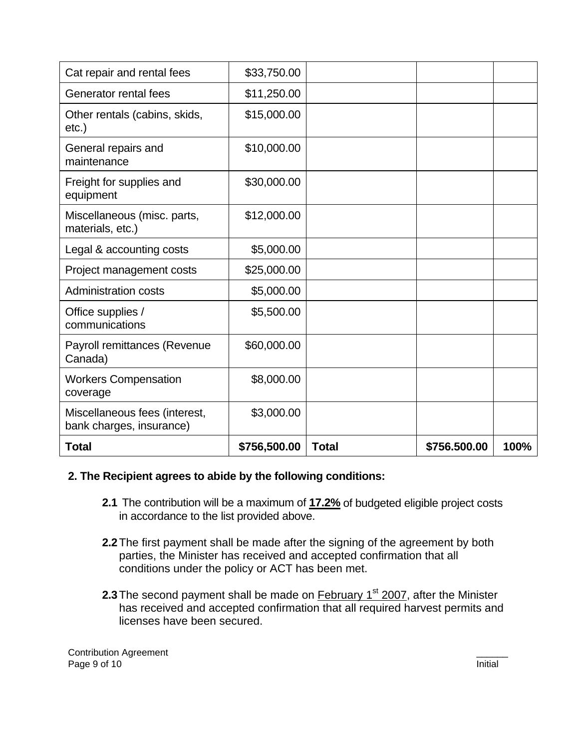| Cat repair and rental fees                                | \$33,750.00  |              |              |      |
|-----------------------------------------------------------|--------------|--------------|--------------|------|
| Generator rental fees                                     | \$11,250.00  |              |              |      |
| Other rentals (cabins, skids,<br>etc.)                    | \$15,000.00  |              |              |      |
| General repairs and<br>maintenance                        | \$10,000.00  |              |              |      |
| Freight for supplies and<br>equipment                     | \$30,000.00  |              |              |      |
| Miscellaneous (misc. parts,<br>materials, etc.)           | \$12,000.00  |              |              |      |
| Legal & accounting costs                                  | \$5,000.00   |              |              |      |
| Project management costs                                  | \$25,000.00  |              |              |      |
| <b>Administration costs</b>                               | \$5,000.00   |              |              |      |
| Office supplies /<br>communications                       | \$5,500.00   |              |              |      |
| Payroll remittances (Revenue<br>Canada)                   | \$60,000.00  |              |              |      |
| <b>Workers Compensation</b><br>coverage                   | \$8,000.00   |              |              |      |
| Miscellaneous fees (interest,<br>bank charges, insurance) | \$3,000.00   |              |              |      |
| <b>Total</b>                                              | \$756,500.00 | <b>Total</b> | \$756.500.00 | 100% |

#### **2. The Recipient agrees to abide by the following conditions:**

- **2.1** The contribution will be a maximum of **17.2%** of budgeted eligible project costs in accordance to the list provided above.
- **2.2** The first payment shall be made after the signing of the agreement by both parties, the Minister has received and accepted confirmation that all conditions under the policy or ACT has been met.
- **2.3** The second payment shall be made on **February 1<sup>st</sup> 2007**, after the Minister has received and accepted confirmation that all required harvest permits and licenses have been secured.